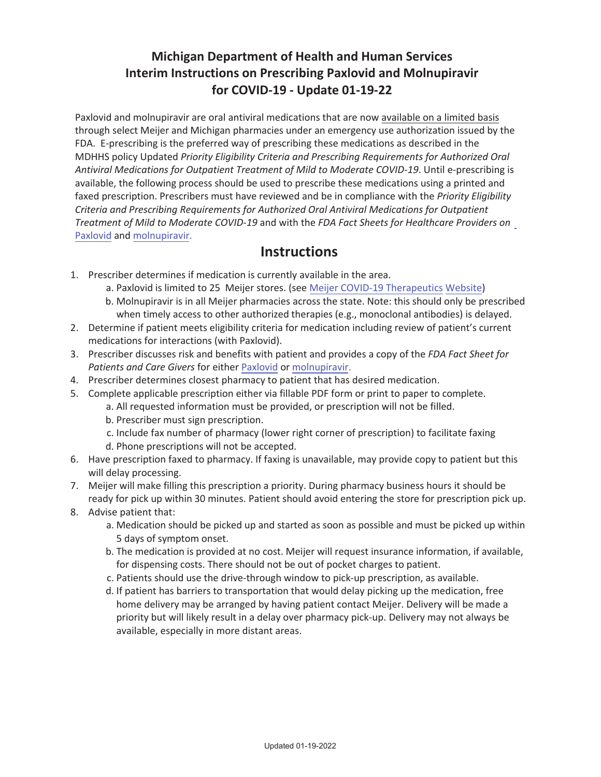# **Michigan Department of Health and Human Services Interim Instructions on Prescribing Paxlovid and Molnupiravir** for COVID-19 - Update 01-19-22

Paxlovid and molnupiravir are oral antiviral medications that are now available on a limited basis through select Meijer and Michigan pharmacies under an emergency use authorization issued by the FDA. E-prescribing is the preferred way of prescribing these medications as described in the MDHHS policy Updated Priority Eligibility Criteria and Prescribing Requirements for Authorized Oral *Antiviral Medications for Outpatient Treatment of Mild to Moderate COVID-19.* Until e-prescribing is available, the following process should be used to prescribe these medications using a printed and faxed prescription. Prescribers must have reviewed and be in compliance with the *Priority Eligibility Criteria and Prescribing Requirements for Authorized Oral Antiviral Medications for Outpatient die analy areas to Mild to Moderate COVID-19* and with the FDA Fact Sheets for Healthcare Providers on Paxlovid and molnupiravir.

## *<u>Instructions</u>*

- 1. Prescriber determines if medication is currently available in the area.
	- a. Paxlovid is limited to 25 Meijer stores. (see Meijer COVID-19 Therapeutics Website)
	- b. Molnupiravir is in all Meijer pharmacies across the state. Note: this should only be prescribed when timely access to other authorized therapies (e.g., monoclonal antibodies) is delayed.
- 2. Determine if patient meets eligibility criteria for medication including review of patient's current medications for interactions (with Paxlovid).
- 3. Prescriber discusses risk and benefits with patient and provides a copy of the *FDA Fact Sheet for Patients and Care Givers* for either Paxlovid or molnupiravir.
- 4. Prescriber determines closest pharmacy to patient that has desired medication.
- 5. Complete applicable prescription either via fillable PDF form or print to paper to complete.
	- a. All requested information must be provided, or prescription will not be filled.
	- b. Prescriber must sign prescription.
	- c. Include fax number of pharmacy (lower right corner of prescription) to facilitate faxing
	- d. Phone prescriptions will not be accepted.
- 6. Have prescription faxed to pharmacy. If faxing is unavailable, may provide copy to patient but this will delay processing.
- 7. Meijer will make filling this prescription a priority. During pharmacy business hours it should be ready for pick up within 30 minutes. Patient should avoid entering the store for prescription pick up.
- 8. Advise patient that:
	- a. Medication should be picked up and started as soon as possible and must be picked up within 5 days of symptom onset.
	- b. The medication is provided at no cost. Meijer will request insurance information, if available, for dispensing costs. There should not be out of pocket charges to patient.
	- c. Patients should use the drive-through window to pick-up prescription, as available.
	- d. If patient has barriers to transportation that would delay picking up the medication, free home delivery may be arranged by having patient contact Meijer. Delivery will be made a priority but will likely result in a delay over pharmacy pick-up. Delivery may not always be available, especially in more distant areas.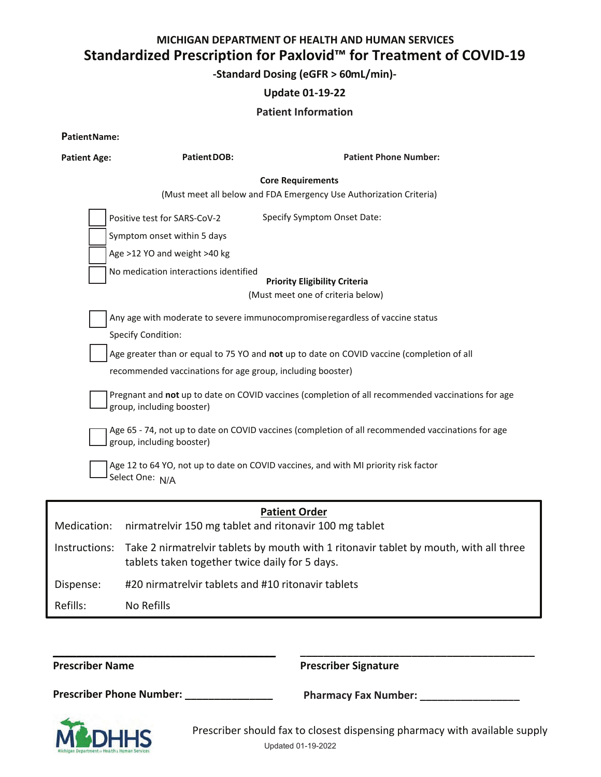### MICHIGAN DEPARTMENT OF HEALTH AND HUMAN SERVICES Standardized Prescription for Paxlovid<sup>™</sup> for Treatment of COVID-19

-Standard Dosing (eGFR > 60mL/min)-

### **Update 01-19-22**

### **Patient Information**

PatientName:

| <b>Patient Age:</b> | PatientDOB:                                                                                                                                                 | <b>Patient Phone Number:</b>                                                                                                                                                                                                                                                    |  |  |  |  |  |  |  |  |
|---------------------|-------------------------------------------------------------------------------------------------------------------------------------------------------------|---------------------------------------------------------------------------------------------------------------------------------------------------------------------------------------------------------------------------------------------------------------------------------|--|--|--|--|--|--|--|--|
|                     | <b>Core Requirements</b>                                                                                                                                    |                                                                                                                                                                                                                                                                                 |  |  |  |  |  |  |  |  |
|                     | (Must meet all below and FDA Emergency Use Authorization Criteria)                                                                                          |                                                                                                                                                                                                                                                                                 |  |  |  |  |  |  |  |  |
|                     | Specify Symptom Onset Date:<br>Positive test for SARS-CoV-2                                                                                                 |                                                                                                                                                                                                                                                                                 |  |  |  |  |  |  |  |  |
|                     | Symptom onset within 5 days                                                                                                                                 |                                                                                                                                                                                                                                                                                 |  |  |  |  |  |  |  |  |
|                     | Age >12 YO and weight >40 kg                                                                                                                                |                                                                                                                                                                                                                                                                                 |  |  |  |  |  |  |  |  |
|                     | No medication interactions identified                                                                                                                       | <b>Priority Eligibility Criteria</b>                                                                                                                                                                                                                                            |  |  |  |  |  |  |  |  |
|                     |                                                                                                                                                             | (Must meet one of criteria below)                                                                                                                                                                                                                                               |  |  |  |  |  |  |  |  |
|                     | <b>Specify Condition:</b><br>recommended vaccinations for age group, including booster)                                                                     | Any age with moderate to severe immunocompromise regardless of vaccine status<br>Age greater than or equal to 75 YO and not up to date on COVID vaccine (completion of all<br>Pregnant and not up to date on COVID vaccines (completion of all recommended vaccinations for age |  |  |  |  |  |  |  |  |
|                     | group, including booster)<br>Age 65 - 74, not up to date on COVID vaccines (completion of all recommended vaccinations for age<br>group, including booster) |                                                                                                                                                                                                                                                                                 |  |  |  |  |  |  |  |  |
|                     | Select One: N/A                                                                                                                                             | Age 12 to 64 YO, not up to date on COVID vaccines, and with MI priority risk factor                                                                                                                                                                                             |  |  |  |  |  |  |  |  |
|                     |                                                                                                                                                             | <b>Patient Order</b>                                                                                                                                                                                                                                                            |  |  |  |  |  |  |  |  |
| Medication:         | nirmatrelvir 150 mg tablet and ritonavir 100 mg tablet                                                                                                      |                                                                                                                                                                                                                                                                                 |  |  |  |  |  |  |  |  |
| Instructions:       | tablets taken together twice daily for 5 days.                                                                                                              | Take 2 nirmatrelvir tablets by mouth with 1 ritonavir tablet by mouth, with all three                                                                                                                                                                                           |  |  |  |  |  |  |  |  |

#20 nirmatrelvir tablets and #10 ritonavir tablets Dispense:

Refills: No Refills

**Prescriber Name Prescriber Signature** Prescriber Phone Number: \_\_\_\_\_\_\_\_\_\_\_\_\_\_\_ Pharmacy Fax Number: \_\_\_\_\_\_\_\_\_\_\_



Prescriber should fax to closest dispensing pharmacy with available supply Updated 01-19-2022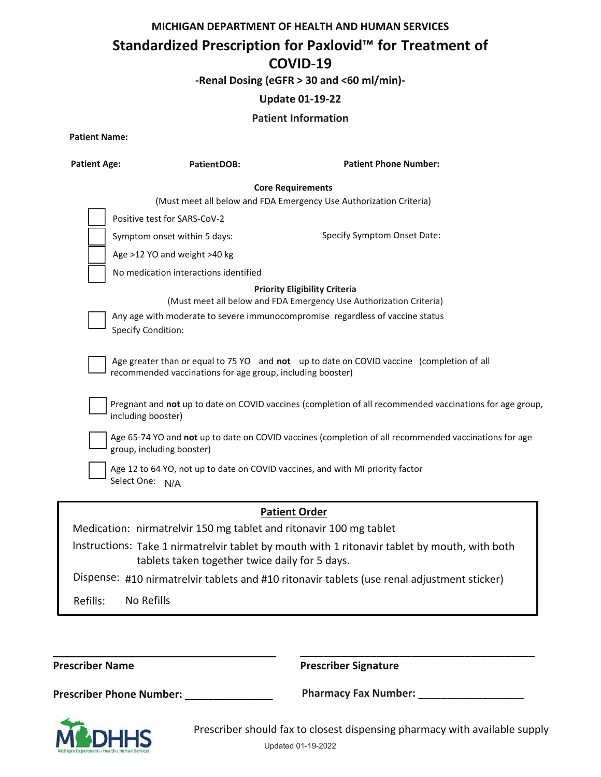### MICHIGAN DEPARTMENT OF HEALTH AND HUMAN SERVICES

# Standardized Prescription for Paxlovid<sup>™</sup> for Treatment of COVID-19

-Renal Dosing (eGFR > 30 and <60 ml/min)-

### **Update 01-19-22**

#### **Patient Information**

**Patient Name:** 

| <b>Patient Age:</b> | <b>PatientDOB:</b>                                                                                                                                      | <b>Patient Phone Number:</b>                                                                               |
|---------------------|---------------------------------------------------------------------------------------------------------------------------------------------------------|------------------------------------------------------------------------------------------------------------|
|                     | <b>Core Requirements</b>                                                                                                                                |                                                                                                            |
|                     | (Must meet all below and FDA Emergency Use Authorization Criteria)                                                                                      |                                                                                                            |
|                     | Positive test for SARS-CoV-2                                                                                                                            |                                                                                                            |
|                     | Symptom onset within 5 days:                                                                                                                            | Specify Symptom Onset Date:                                                                                |
|                     | Age >12 YO and weight >40 kg                                                                                                                            |                                                                                                            |
|                     | No medication interactions identified                                                                                                                   |                                                                                                            |
|                     | Any age with moderate to severe immunocompromise regardless of vaccine status<br><b>Specify Condition:</b>                                              | <b>Priority Eligibility Criteria</b><br>(Must meet all below and FDA Emergency Use Authorization Criteria) |
|                     | Age greater than or equal to 75 YO and not up to date on COVID vaccine (completion of all<br>recommended vaccinations for age group, including booster) |                                                                                                            |
|                     | including booster)                                                                                                                                      | Pregnant and not up to date on COVID vaccines (completion of all recommended vaccinations for age group,   |
|                     | group, including booster)                                                                                                                               | Age 65-74 YO and not up to date on COVID vaccines (completion of all recommended vaccinations for age      |
|                     | Age 12 to 64 YO, not up to date on COVID vaccines, and with MI priority factor<br>Select One: N/A                                                       |                                                                                                            |
|                     | <b>Patient Order</b>                                                                                                                                    |                                                                                                            |
|                     | Medication: nirmatrelvir 150 mg tablet and ritonavir 100 mg tablet                                                                                      |                                                                                                            |
|                     | tablets taken together twice daily for 5 days.                                                                                                          | Instructions: Take 1 nirmatrelvir tablet by mouth with 1 ritonavir tablet by mouth, with both              |
|                     |                                                                                                                                                         | Dispense: #10 nirmatrelvir tablets and #10 ritonavir tablets (use renal adjustment sticker)                |

Refills: No Refills

**Prescriber Name** 

**Prescriber Signature** 

Prescriber Phone Number: \_\_\_\_\_\_\_\_\_\_\_\_\_\_\_



Prescriber should fax to closest dispensing pharmacy with available supply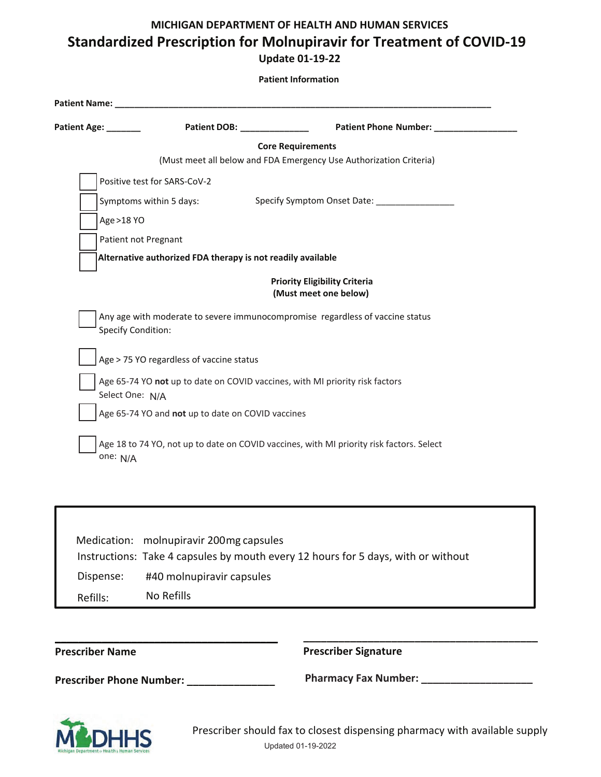# **MICHIGAN DEPARTMENT OF HEALTH AND HUMAN SERVICES** Standardized Prescription for Molnupiravir for Treatment of COVID-19 **Update 01-19-22**

| Patient Age: <b>Network</b>                                 | Patient DOB: National Patient DOB:                | Patient Phone Number: _______                                                 |
|-------------------------------------------------------------|---------------------------------------------------|-------------------------------------------------------------------------------|
|                                                             |                                                   | <b>Core Requirements</b>                                                      |
|                                                             |                                                   | (Must meet all below and FDA Emergency Use Authorization Criteria)            |
| Positive test for SARS-CoV-2                                |                                                   |                                                                               |
| Symptoms within 5 days:                                     |                                                   |                                                                               |
| Age >18 YO                                                  |                                                   |                                                                               |
| Patient not Pregnant                                        |                                                   |                                                                               |
| Alternative authorized FDA therapy is not readily available |                                                   |                                                                               |
|                                                             |                                                   | <b>Priority Eligibility Criteria</b><br>(Must meet one below)                 |
| <b>Specify Condition:</b>                                   |                                                   | Any age with moderate to severe immunocompromise regardless of vaccine status |
| Age > 75 YO regardless of vaccine status                    |                                                   |                                                                               |
| Select One: N/A                                             |                                                   | Age 65-74 YO not up to date on COVID vaccines, with MI priority risk factors  |
|                                                             | Age 65-74 YO and not up to date on COVID vaccines |                                                                               |

|           | Medication: molnupiravir 200mg capsules<br>Instructions: Take 4 capsules by mouth every 12 hours for 5 days, with or without |
|-----------|------------------------------------------------------------------------------------------------------------------------------|
| Dispense: | #40 molnupiravir capsules                                                                                                    |
| Refills:  | No Refills                                                                                                                   |

| <b>Prescriber Name</b> |  |  |
|------------------------|--|--|
|------------------------|--|--|

**ͺͺͺͺ** 

**Prescriber Signature** 

Prescriber Phone Number: \_\_\_\_\_\_\_\_\_\_\_\_\_\_\_

**WŚĂƌŵĂĐLJ&ĂdžEƵŵďĞƌ͗ͺͺͺͺͺͺͺͺͺͺͺͺͺͺͺͺͺͺͺ**

**ͺͺͺͺͺͺͺͺͺͺͺͺ** 



Prescriber should fax to closest dispensing pharmacy with available supply Updated 01-19-2022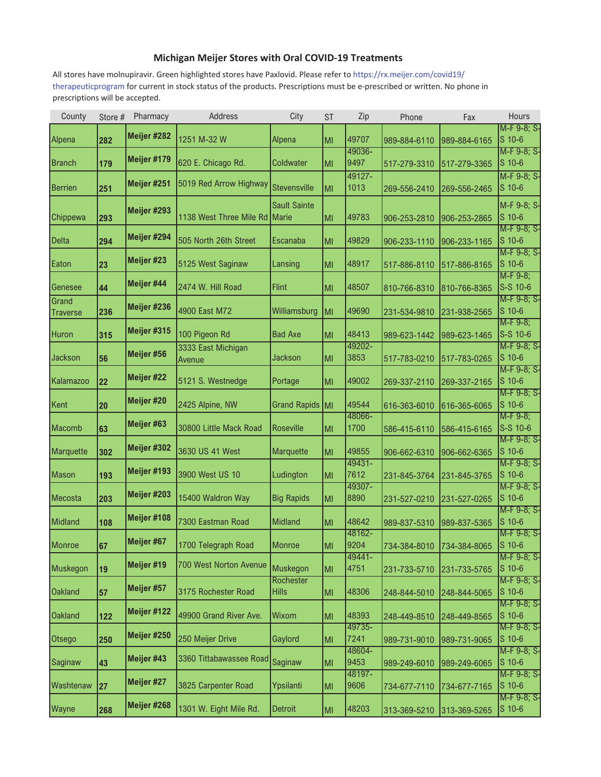### **Michigan Meijer Stores with Oral COVID-19 Treatments**

All stores have molnupiravir. Green highlighted stores have Paxlovid. Please refer to https://rx.meijer.com/covid19/ therapeuticprogram for current in stock status of the products. Prescriptions must be e-prescribed or written. No phone in prescriptions will be accepted.

| County          | Store # | Pharmacy    | Address                 | City                | <b>ST</b> | Zip             | Phone        | Fax          | Hours                   |
|-----------------|---------|-------------|-------------------------|---------------------|-----------|-----------------|--------------|--------------|-------------------------|
| Alpena          | 282     | Meijer #282 | 1251 M-32 W             | Alpena              | MI        | 49707           | 989-884-6110 | 989-884-6165 | M-F 9-8; S-<br>$S$ 10-6 |
|                 |         |             |                         |                     |           | 49036-          |              |              | M-F 9-8; S-             |
| <b>Branch</b>   | 179     | Meijer #179 | 620 E. Chicago Rd.      | Coldwater           | lмı       | 9497            | 517-279-3310 | 517-279-3365 | $S$ 10-6                |
|                 |         |             |                         |                     |           | 49127-          |              |              | M-F 9-8; S-             |
| Berrien         | 251     | Meijer #251 | 5019 Red Arrow Highway  | <b>Stevensville</b> | lмı       | 1013            | 269-556-2410 | 269-556-2465 | $S$ 10-6                |
|                 |         |             |                         | <b>Sault Sainte</b> |           |                 |              |              | M-F 9-8; S-             |
| Chippewa        | 293     | Meijer #293 | 1138 West Three Mile Rd | Marie               | MI        | 49783           | 906-253-2810 | 906-253-2865 | $S$ 10-6                |
|                 |         | Meijer #294 |                         |                     |           |                 |              |              | M-F 9-8; S-             |
| <b>Delta</b>    | 294     |             | 505 North 26th Street   | Escanaba            | MI        | 49829           | 906-233-1110 | 906-233-1165 | $S$ 10-6                |
| Eaton           | 23      | Meijer #23  | 5125 West Saginaw       | Lansing             | MI        | 48917           | 517-886-8110 | 517-886-8165 | M-F 9-8; S-<br>$S$ 10-6 |
|                 |         |             |                         |                     |           |                 |              |              | $M-F 9-8;$              |
| Genesee         | 44      | Meijer #44  | 2474 W. Hill Road       | <b>Flint</b>        | MI        | 48507           | 810-766-8310 | 810-766-8365 | S-S 10-6                |
| Grand           |         |             |                         |                     |           |                 |              |              | M-F 9-8; S-             |
| <b>Traverse</b> | 236     | Meijer #236 | 4900 East M72           | Williamsburg        | MI        | 49690           | 231-534-9810 | 231-938-2565 | $S$ 10-6                |
|                 |         | Meijer #315 | 100 Pigeon Rd           | <b>Bad Axe</b>      |           |                 |              |              | $M-F 9-8;$              |
| Huron           | 315     |             |                         |                     | MI        | 48413<br>49202- | 989-623-1442 | 989-623-1465 | S-S 10-6<br>M-F 9-8; S- |
| Jackson         | 56      | Meijer #56  | 3333 East Michigan      | <b>Jackson</b>      | MI        | 3853            | 517-783-0210 | 517-783-0265 | $S$ 10-6                |
|                 |         |             | Avenue                  |                     |           |                 |              |              | M-F 9-8; S-             |
| Kalamazoo       | 22      | Meijer #22  | 5121 S. Westnedge       | Portage             | MI        | 49002           | 269-337-2110 | 269-337-2165 | $S$ 10-6                |
|                 |         |             |                         |                     |           |                 |              |              | M-F 9-8; S-             |
| Kent            | 20      | Meijer #20  | 2425 Alpine, NW         | Grand Rapids MI     |           | 49544           | 616-363-6010 | 616-365-6065 | $S$ 10-6                |
|                 |         | Meijer #63  |                         |                     |           | 48066-          |              |              | $M-F 9-8;$              |
| Macomb          | 63      |             | 30800 Little Mack Road  | <b>Roseville</b>    | MI        | 1700            | 586-415-6110 | 586-415-6165 | S-S 10-6                |
| Marquette       | 302     | Meijer #302 | 3630 US 41 West         | <b>Marquette</b>    | MI        | 49855           | 906-662-6310 | 906-662-6365 | M-F 9-8; S-<br>$S$ 10-6 |
|                 |         |             |                         |                     |           | 49431-          |              |              | M-F 9-8; S-             |
| Mason           | 193     | Meijer #193 | 3900 West US 10         | Ludington           | MI        | 7612            | 231-845-3764 | 231-845-3765 | $S$ 10-6                |
|                 |         |             |                         |                     |           | 49307-          |              |              | M-F 9-8; S-             |
| Mecosta         | 203     | Meijer #203 | 15400 Waldron Way       | <b>Big Rapids</b>   | MI        | 8890            | 231-527-0210 | 231-527-0265 | $S$ 10-6                |
|                 |         | Meijer #108 |                         |                     |           |                 |              |              | M-F 9-8; S-             |
| Midland         | 108     |             | 7300 Eastman Road       | Midland             | MI        | 48642<br>48162- | 989-837-5310 | 989-837-5365 | $S$ 10-6                |
| Monroe          | 67      | Meijer #67  | 1700 Telegraph Road     | Monroe              | MI        | 9204            | 734-384-8010 | 734-384-8065 | M-F 9-8; S-<br>$S$ 10-6 |
|                 |         |             |                         |                     |           | 49441-          |              |              | M-F 9-8; S-             |
| Muskegon        | 19      | Meijer #19  | 700 West Norton Avenue  | Muskegon            | MI        | 4751            | 231-733-5710 | 231-733-5765 | $S$ 10-6                |
|                 |         |             |                         | Rochester           |           |                 |              |              | M-F 9-8; S-             |
| <b>Oakland</b>  | 57      | Meijer #57  | 3175 Rochester Road     | <b>Hills</b>        | MI        | 48306           | 248-844-5010 | 248-844-5065 | $S$ 10-6                |
|                 |         | Meijer #122 |                         |                     |           |                 |              |              | M-F 9-8; S-             |
| <b>Oakland</b>  | 122     |             | 49900 Grand River Ave.  | Wixom               | MI        | 48393           | 248-449-8510 | 248-449-8565 | $S$ 10-6                |
| <b>Otsego</b>   | 250     | Meijer #250 | 250 Meijer Drive        | Gaylord             | MI        | 49735-<br>7241  |              |              | M-F 9-8; S-<br>$S$ 10-6 |
|                 |         |             |                         |                     |           | 48604-          | 989-731-9010 | 989-731-9065 | M-F 9-8; S-             |
| Saginaw         | 43      | Meijer #43  | 3360 Tittabawassee Road | Saginaw             | MI        | 9453            | 989-249-6010 | 989-249-6065 | $S$ 10-6                |
|                 |         |             |                         |                     |           | 48197-          |              |              | M-F 9-8; S-             |
| Washtenaw       | 27      | Meijer #27  | 3825 Carpenter Road     | Ypsilanti           | MI        | 9606            | 734-677-7110 | 734-677-7165 | $S$ 10-6                |
|                 |         | Meijer #268 | 1301 W. Eight Mile Rd.  |                     |           | 48203           |              |              | M-F 9-8; S-<br>$S$ 10-6 |
| Wayne           | 268     |             |                         | <b>Detroit</b>      | MI        |                 | 313-369-5210 | 313-369-5265 |                         |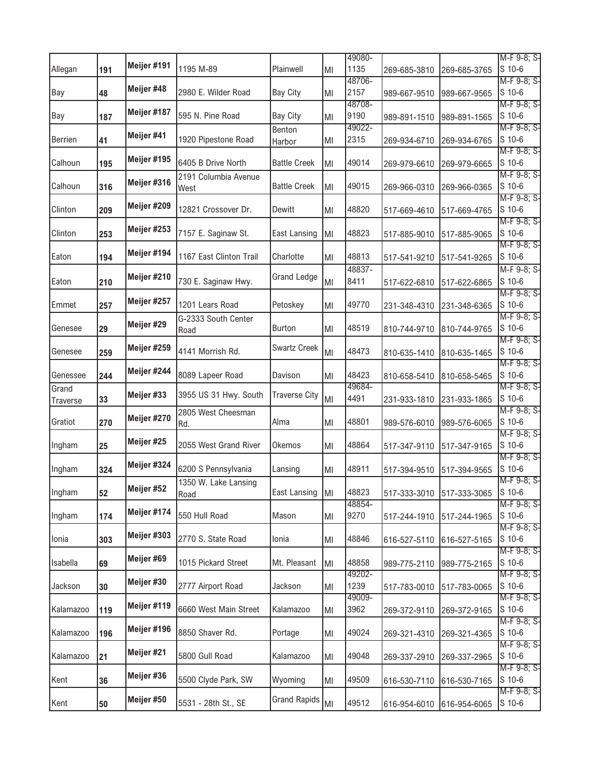|                   |     |             |                              |                      |    | 49080-         |              |                                  | M-F 9-8; S-           |
|-------------------|-----|-------------|------------------------------|----------------------|----|----------------|--------------|----------------------------------|-----------------------|
| Allegan           | 191 | Meijer #191 | 1195 M-89                    | Plainwell            | MI | 1135           | 269-685-3810 | 269-685-3765                     | $S$ 10-6              |
| Bay               | 48  | Meijer #48  | 2980 E. Wilder Road          | <b>Bay City</b>      | MI | 48706-<br>2157 | 989-667-9510 | 989-667-9565                     | M-F 9-8; S-<br>S 10-6 |
| Bay               | 187 | Meijer #187 | 595 N. Pine Road             | <b>Bay City</b>      | MI | 48708-<br>9190 | 989-891-1510 | 989-891-1565                     | M-F 9-8; S-<br>S 10-6 |
| Berrien           | 41  | Meijer #41  | 1920 Pipestone Road          | Benton<br>Harbor     | ΜI | 49022-<br>2315 | 269-934-6710 | 269-934-6765                     | M-F 9-8; S-<br>S 10-6 |
| Calhoun           | 195 | Meijer #195 | 6405 B Drive North           | <b>Battle Creek</b>  | MI | 49014          | 269-979-6610 | 269-979-6665                     | M-F 9-8; S-<br>S 10-6 |
| Calhoun           | 316 | Meijer #316 | 2191 Columbia Avenue<br>West | <b>Battle Creek</b>  | MI | 49015          | 269-966-0310 | 269-966-0365                     | M-F 9-8; S-<br>S 10-6 |
| Clinton           | 209 | Meijer #209 | 12821 Crossover Dr.          | Dewitt               | MI | 48820          | 517-669-4610 | 517-669-4765                     | M-F 9-8; S-<br>S 10-6 |
| Clinton           | 253 | Meijer #253 | 7157 E. Saginaw St.          | East Lansing         | MI | 48823          | 517-885-9010 | 517-885-9065                     | M-F 9-8; S-<br>S 10-6 |
| Eaton             | 194 | Meijer #194 | 1167 East Clinton Trail      | Charlotte            | MI | 48813          | 517-541-9210 | 517-541-9265                     | M-F 9-8; S-<br>S 10-6 |
| Eaton             | 210 | Meijer #210 | 730 E. Saginaw Hwy.          | <b>Grand Ledge</b>   | MI | 48837-<br>8411 | 517-622-6810 | 517-622-6865                     | M-F 9-8; S-<br>S 10-6 |
| Emmet             | 257 | Meijer #257 | 1201 Lears Road              | Petoskey             | MI | 49770          | 231-348-4310 | 231-348-6365                     | M-F 9-8; S-<br>S 10-6 |
| Genesee           | 29  | Meijer #29  | G-2333 South Center<br>Road  | <b>Burton</b>        | MI | 48519          | 810-744-9710 | 810-744-9765                     | M-F 9-8; S-<br>S 10-6 |
| Genesee           | 259 | Meijer #259 | 4141 Morrish Rd.             | <b>Swartz Creek</b>  | MI | 48473          | 810-635-1410 | 810-635-1465                     | M-F 9-8; S-<br>S 10-6 |
| Genessee          | 244 | Meijer #244 | 8089 Lapeer Road             | Davison              | MI | 48423          | 810-658-5410 | 810-658-5465                     | M-F 9-8; S-<br>S 10-6 |
| Grand<br>Traverse | 33  | Meijer #33  | 3955 US 31 Hwy. South        | <b>Traverse City</b> | MI | 49684-<br>4491 | 231-933-1810 | 231-933-1865                     | M-F 9-8; S-<br>S 10-6 |
| Gratiot           | 270 | Meijer #270 | 2805 West Cheesman<br>Rd.    | Alma                 | MI | 48801          | 989-576-6010 | 989-576-6065                     | M-F 9-8; S-<br>S 10-6 |
| Ingham            | 25  | Meijer #25  | 2055 West Grand River        | Okemos               | MI | 48864          | 517-347-9110 | 517-347-9165                     | M-F 9-8; S-<br>S 10-6 |
| Ingham            | 324 | Meijer #324 | 6200 S Pennsylvania          | Lansing              | MI | 48911          | 517-394-9510 | 517-394-9565                     | M-F 9-8; S-<br>S 10-6 |
| Ingham            | 52  | Meijer #52  | 1350 W. Lake Lansing<br>Road | East Lansing MI      |    | 48823          |              | 517-333-3010 517-333-3065 S 10-6 | M-F 9-8; S-           |
| Ingham            | 174 | Meijer #174 | 550 Hull Road                | Mason                | MI | 48854-<br>9270 | 517-244-1910 | 517-244-1965                     | M-F 9-8; S-<br>S 10-6 |
| Ionia             | 303 | Meijer #303 | 2770 S. State Road           | Ionia                | MI | 48846          | 616-527-5110 | 616-527-5165                     | M-F 9-8; S-<br>S 10-6 |
| Isabella          | 69  | Meijer #69  | 1015 Pickard Street          | Mt. Pleasant         | MI | 48858          | 989-775-2110 | 989-775-2165                     | M-F 9-8; S-<br>S 10-6 |
| Jackson           | 30  | Meijer #30  | 2777 Airport Road            | Jackson              | MI | 49202-<br>1239 | 517-783-0010 | 517-783-0065                     | M-F 9-8; S-<br>S 10-6 |
| Kalamazoo         | 119 | Meijer #119 | 6660 West Main Street        | Kalamazoo            | ΜI | 49009-<br>3962 | 269-372-9110 | 269-372-9165                     | M-F 9-8; S-<br>S 10-6 |
| Kalamazoo         | 196 | Meijer #196 | 8850 Shaver Rd.              | Portage              | ΜI | 49024          | 269-321-4310 | 269-321-4365                     | M-F 9-8; S-<br>S 10-6 |
| Kalamazoo         | 21  | Meijer #21  | 5800 Gull Road               | Kalamazoo            | ΜI | 49048          | 269-337-2910 | 269-337-2965                     | M-F 9-8; S-<br>S 10-6 |
| Kent              | 36  | Meijer #36  | 5500 Clyde Park, SW          | Wyoming              | MI | 49509          | 616-530-7110 | 616-530-7165                     | M-F 9-8; S-<br>S 10-6 |
| Kent              | 50  | Meijer #50  | 5531 - 28th St., SE          | <b>Grand Rapids</b>  | MI | 49512          | 616-954-6010 | 616-954-6065                     | M-F 9-8; S-<br>S 10-6 |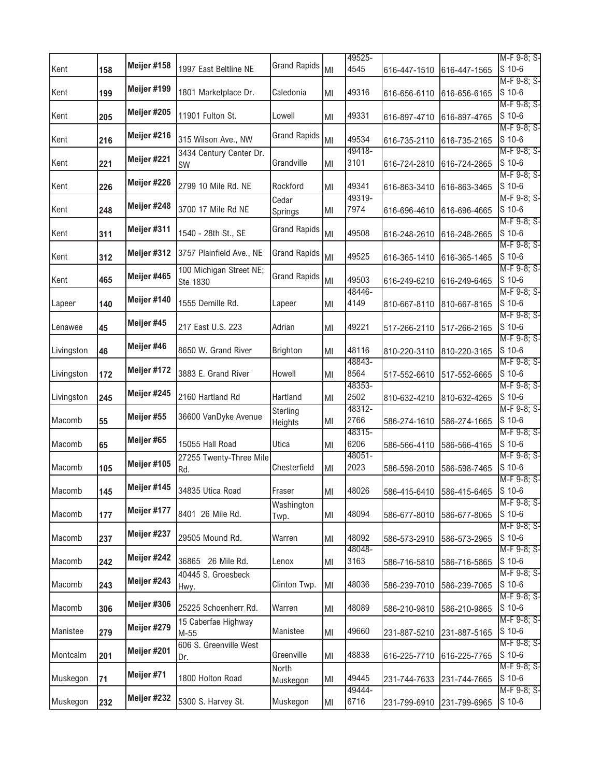|            |     |             |                                      |                     |    | 49525-         |              |                           | M-F 9-8; S-           |
|------------|-----|-------------|--------------------------------------|---------------------|----|----------------|--------------|---------------------------|-----------------------|
| Kent       | 158 | Meijer #158 | 1997 East Beltline NE                | <b>Grand Rapids</b> | MI | 4545           | 616-447-1510 | 616-447-1565              | S 10-6                |
| Kent       | 199 | Meijer #199 | 1801 Marketplace Dr.                 | Caledonia           | MI | 49316          | 616-656-6110 | 616-656-6165              | M-F 9-8; S-<br>S 10-6 |
| Kent       | 205 | Meijer #205 | 11901 Fulton St.                     | Lowell              | MI | 49331          | 616-897-4710 | 616-897-4765              | M-F 9-8; S-<br>S 10-6 |
| Kent       | 216 | Meijer #216 | 315 Wilson Ave., NW                  | <b>Grand Rapids</b> | MI | 49534          | 616-735-2110 | 616-735-2165              | M-F 9-8; S-<br>S 10-6 |
| Kent       | 221 | Meijer #221 | 3434 Century Center Dr.<br><b>SW</b> | Grandville          | MI | 49418-<br>3101 | 616-724-2810 | 616-724-2865              | M-F 9-8; S-<br>S 10-6 |
| Kent       | 226 | Meijer #226 | 2799 10 Mile Rd. NE                  | Rockford            | MI | 49341          | 616-863-3410 | 616-863-3465              | M-F 9-8; S-<br>S 10-6 |
| Kent       | 248 | Meijer #248 | 3700 17 Mile Rd NE                   | Cedar<br>Springs    | ΜI | 49319-<br>7974 | 616-696-4610 | 616-696-4665              | M-F 9-8; S-<br>S 10-6 |
| Kent       | 311 | Meijer #311 | 1540 - 28th St., SE                  | <b>Grand Rapids</b> | MI | 49508          | 616-248-2610 | 616-248-2665              | M-F 9-8; S-<br>S 10-6 |
| Kent       | 312 | Meijer #312 | 3757 Plainfield Ave., NE             | <b>Grand Rapids</b> | MI | 49525          | 616-365-1410 | 616-365-1465              | M-F 9-8; S-<br>S 10-6 |
| Kent       | 465 | Meijer #465 | 100 Michigan Street NE;<br>Ste 1830  | <b>Grand Rapids</b> | MI | 49503          | 616-249-6210 | 616-249-6465              | M-F 9-8; S-<br>S 10-6 |
| Lapeer     | 140 | Meijer #140 | 1555 Demille Rd.                     | Lapeer              | MI | 48446-<br>4149 | 810-667-8110 | 810-667-8165              | M-F 9-8; S-<br>S 10-6 |
| Lenawee    | 45  | Meijer #45  | 217 East U.S. 223                    | Adrian              | MI | 49221          | 517-266-2110 | 517-266-2165              | M-F 9-8; S-<br>S 10-6 |
| Livingston | 46  | Meijer #46  | 8650 W. Grand River                  | <b>Brighton</b>     | MI | 48116          | 810-220-3110 | 810-220-3165              | M-F 9-8; S-<br>S 10-6 |
| Livingston | 172 | Meijer #172 | 3883 E. Grand River                  | Howell              | MI | 48843-<br>8564 | 517-552-6610 | 517-552-6665              | M-F 9-8; S-<br>S 10-6 |
| Livingston | 245 | Meijer #245 | 2160 Hartland Rd                     | Hartland            | MI | 48353-<br>2502 | 810-632-4210 | 810-632-4265              | M-F 9-8; S-<br>S 10-6 |
| Macomb     | 55  | Meijer #55  | 36600 VanDyke Avenue                 | Sterling<br>Heights | ΜI | 48312-<br>2766 | 586-274-1610 | 586-274-1665              | M-F 9-8; S-<br>S 10-6 |
| Macomb     | 65  | Meijer #65  | 15055 Hall Road                      | Utica               | MI | 48315-<br>6206 | 586-566-4110 | 586-566-4165              | M-F 9-8; S-<br>S 10-6 |
| Macomb     | 105 | Meijer #105 | 27255 Twenty-Three Mile<br>Rd.       | Chesterfield        | MI | 48051-<br>2023 | 586-598-2010 | 586-598-7465              | M-F 9-8; S-<br>S 10-6 |
| Macomb     | 145 | Meijer #145 | 34835 Utica Road                     | Fraser              | MI | 48026          |              | 586-415-6410 586-415-6465 | M-F 9-8; S-<br>S 10-6 |
| Macomb     | 177 | Meijer #177 | 8401 26 Mile Rd.                     | Washington<br>Twp.  | MI | 48094          | 586-677-8010 | 586-677-8065              | M-F 9-8; S-<br>S 10-6 |
| Macomb     | 237 | Meijer #237 | 29505 Mound Rd.                      | Warren              | ΜI | 48092          | 586-573-2910 | 586-573-2965              | M-F 9-8; S-<br>S 10-6 |
| Macomb     | 242 | Meijer #242 | 36865 26 Mile Rd.                    | Lenox               | ΜI | 48048-<br>3163 | 586-716-5810 | 586-716-5865              | M-F 9-8; S-<br>S 10-6 |
| Macomb     | 243 | Meijer #243 | 40445 S. Groesbeck<br>Hwy.           | Clinton Twp.        | MI | 48036          | 586-239-7010 | 586-239-7065              | M-F 9-8; S-<br>S 10-6 |
| Macomb     | 306 | Meijer #306 | 25225 Schoenherr Rd.                 | Warren              | MI | 48089          | 586-210-9810 | 586-210-9865              | M-F 9-8; S-<br>S 10-6 |
| Manistee   | 279 | Meijer #279 | 15 Caberfae Highway<br>$M-55$        | Manistee            | ΜI | 49660          | 231-887-5210 | 231-887-5165              | M-F 9-8; S-<br>S 10-6 |
| Montcalm   | 201 | Meijer #201 | 606 S. Greenville West<br>Dr.        | Greenville          | ΜI | 48838          | 616-225-7710 | 616-225-7765              | M-F 9-8; S-<br>S 10-6 |
| Muskegon   | 71  | Meijer #71  | 1800 Holton Road                     | North<br>Muskegon   | ΜI | 49445          | 231-744-7633 | 231-744-7665              | M-F 9-8; S-<br>S 10-6 |
| Muskegon   | 232 | Meijer #232 | 5300 S. Harvey St.                   | Muskegon            | MI | 49444-<br>6716 | 231-799-6910 | 231-799-6965              | M-F 9-8; S-<br>S 10-6 |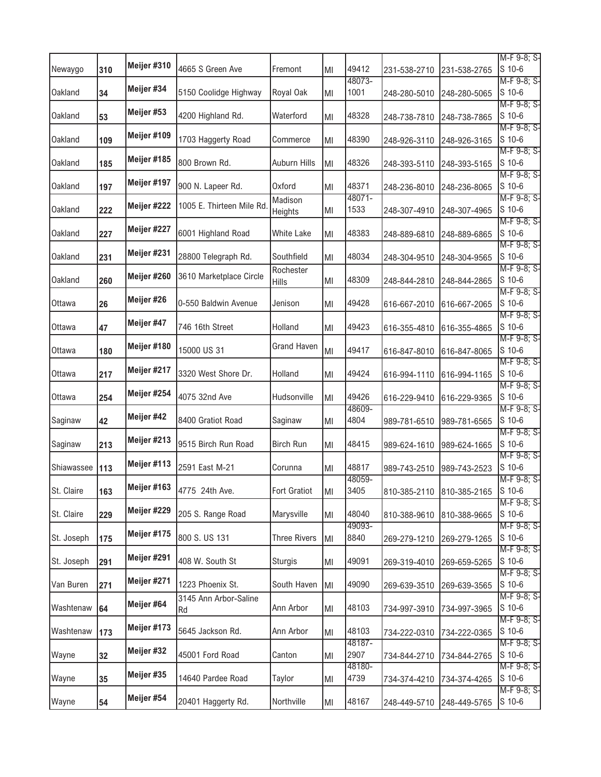|            |     | Meijer #310 |                           |                     |     |                 |                           |                                  | M-F 9-8; S-           |
|------------|-----|-------------|---------------------------|---------------------|-----|-----------------|---------------------------|----------------------------------|-----------------------|
| Newaygo    | 310 |             | 4665 S Green Ave          | Fremont             | lмı | 49412<br>48073- | 231-538-2710              | 231-538-2765                     | S 10-6<br>M-F 9-8; S- |
| Oakland    | 34  | Meijer #34  | 5150 Coolidge Highway     | Royal Oak           | MI  | 1001            | 248-280-5010              | 248-280-5065                     | S 10-6                |
| Oakland    | 53  | Meijer #53  | 4200 Highland Rd.         | Waterford           | MI  | 48328           | 248-738-7810              | 248-738-7865                     | M-F 9-8; S-<br>S 10-6 |
| Oakland    | 109 | Meijer #109 | 1703 Haggerty Road        | Commerce            | MI  | 48390           | 248-926-3110              | 248-926-3165                     | M-F 9-8; S-<br>S 10-6 |
| Oakland    |     | Meijer #185 | 800 Brown Rd.             | Auburn Hills        |     | 48326           |                           |                                  | M-F 9-8; S-<br>S 10-6 |
|            | 185 | Meijer #197 |                           |                     | MI  |                 | 248-393-5110              | 248-393-5165                     | M-F 9-8; S-           |
| Oakland    | 197 |             | 900 N. Lapeer Rd.         | <b>Oxford</b>       | MI  | 48371<br>48071- | 248-236-8010              | 248-236-8065                     | S 10-6<br>M-F 9-8; S- |
| Oakland    | 222 | Meijer #222 | 1005 E. Thirteen Mile Rd. | Madison<br>Heights  | ΙMΙ | 1533            | 248-307-4910              | 248-307-4965                     | S 10-6                |
| Oakland    | 227 | Meijer #227 | 6001 Highland Road        | <b>White Lake</b>   | MI  | 48383           | 248-889-6810              | 248-889-6865                     | M-F 9-8; S-<br>S 10-6 |
| Oakland    | 231 | Meijer #231 | 28800 Telegraph Rd.       | Southfield          | lмı | 48034           | 248-304-9510              | 248-304-9565                     | M-F 9-8; S-<br>S 10-6 |
| Oakland    | 260 | Meijer #260 | 3610 Marketplace Circle   | Rochester<br>Hills  | ΙMΙ | 48309           | 248-844-2810              | 248-844-2865                     | M-F 9-8; S-<br>S 10-6 |
| Ottawa     | 26  | Meijer #26  | 0-550 Baldwin Avenue      | Jenison             | lмı | 49428           | 616-667-2010              | 616-667-2065                     | M-F 9-8; S-<br>S 10-6 |
| Ottawa     | 47  | Meijer #47  | 746 16th Street           | Holland             | lмı | 49423           | 616-355-4810              | 616-355-4865                     | M-F 9-8; S-<br>S 10-6 |
|            |     | Meijer #180 |                           | <b>Grand Haven</b>  |     |                 |                           |                                  | M-F 9-8; S-           |
| Ottawa     | 180 |             | 15000 US 31               |                     | MI  | 49417           | 616-847-8010              | 616-847-8065                     | S 10-6<br>M-F 9-8; S- |
| Ottawa     | 217 | Meijer #217 | 3320 West Shore Dr.       | Holland             | lмı | 49424           | 616-994-1110              | 616-994-1165                     | S 10-6                |
| Ottawa     | 254 | Meijer #254 | 4075 32nd Ave             | Hudsonville         | lмı | 49426           | 616-229-9410              | 616-229-9365                     | M-F 9-8; S-<br>S 10-6 |
| Saginaw    | 42  | Meijer #42  | 8400 Gratiot Road         | Saginaw             | lмı | 48609-<br>4804  | 989-781-6510              | 989-781-6565                     | M-F 9-8; S-<br>S 10-6 |
| Saginaw    | 213 | Meijer #213 | 9515 Birch Run Road       | <b>Birch Run</b>    | lмı | 48415           | 989-624-1610              | 989-624-1665                     | M-F 9-8; S-<br>S 10-6 |
| Shiawassee | 113 | Meijer #113 | 2591 East M-21            | Corunna             |     | 48817           |                           |                                  | M-F 9-8; S-<br>S 10-6 |
|            |     |             |                           |                     | MI  | 48059-          | 989-743-2510              | 989-743-2523                     | M-F 9-8; S-           |
| St. Claire | 163 | Meijer #163 | 4775 24th Ave.            | <b>Fort Gratiot</b> | MI  | 3405            |                           | 810-385-2110 810-385-2165 S 10-6 | M-F 9-8; S-           |
| St. Claire | 229 | Meijer #229 | 205 S. Range Road         | Marysville          | ΙMΙ | 48040           | 810-388-9610              | 810-388-9665                     | S 10-6                |
| St. Joseph | 175 | Meijer #175 | 800 S. US 131             | <b>Three Rivers</b> | MI  | 49093-<br>8840  | 269-279-1210              | 269-279-1265                     | M-F 9-8; S-<br>S 10-6 |
| St. Joseph | 291 | Meijer #291 | 408 W. South St           | <b>Sturgis</b>      | MI  | 49091           | 269-319-4010              | 269-659-5265                     | M-F 9-8; S-<br>S 10-6 |
| Van Buren  | 271 | Meijer #271 | 1223 Phoenix St.          | South Haven         | MI  | 49090           | 269-639-3510              | 269-639-3565                     | M-F 9-8; S-<br>S 10-6 |
| Washtenaw  |     | Meijer #64  | 3145 Ann Arbor-Saline     | Ann Arbor           |     | 48103           |                           |                                  | M-F 9-8; S-<br>S 10-6 |
|            | 64  | Meijer #173 | Rd                        |                     | MI  |                 | 734-997-3910              | 734-997-3965                     | M-F 9-8; S-           |
| Washtenaw  | 173 |             | 5645 Jackson Rd.          | Ann Arbor           | MI  | 48103<br>48187- | 734-222-0310              | 734-222-0365                     | S 10-6<br>M-F 9-8; S- |
| Wayne      | 32  | Meijer #32  | 45001 Ford Road           | Canton              | ΙMΙ | 2907            | 734-844-2710              | 734-844-2765                     | S 10-6                |
| Wayne      | 35  | Meijer #35  | 14640 Pardee Road         | Taylor              | ΙMΙ | 48180-<br>4739  | 734-374-4210              | 734-374-4265                     | M-F 9-8; S-<br>S 10-6 |
| Wayne      | 54  | Meijer #54  | 20401 Haggerty Rd.        | Northville          | MI  | 48167           | 248-449-5710 248-449-5765 |                                  | M-F 9-8; S-<br>S 10-6 |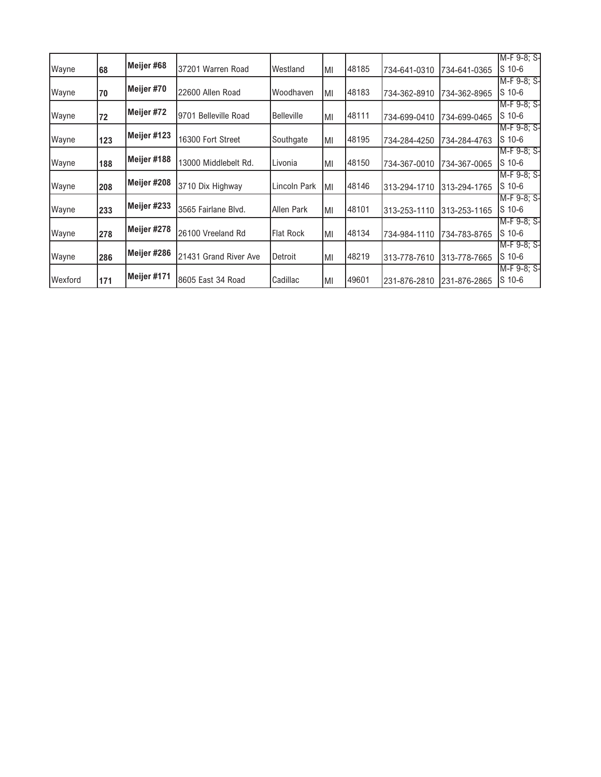|         |     |             |                                |                   |     |       |              |              | M-F 9-8; S- |
|---------|-----|-------------|--------------------------------|-------------------|-----|-------|--------------|--------------|-------------|
| Wayne   | 68  | Meijer #68  | 37201 Warren Road              | Westland          | IМI | 48185 | 734-641-0310 | 734-641-0365 | $S$ 10-6    |
|         |     |             |                                |                   |     |       |              |              | M-F 9-8; S- |
| Wayne   | 70  | Meijer #70  | 22600 Allen Road               | Woodhaven         | IМI | 48183 | 734-362-8910 | 734-362-8965 | $S$ 10-6    |
|         |     |             |                                |                   |     |       |              |              | M-F 9-8: S- |
| Wayne   | 72  | Meijer #72  | <b>Belleville Road</b><br>9701 | <b>Belleville</b> | IМI | 48111 | 734-699-0410 | 734-699-0465 | $S$ 10-6    |
|         |     |             |                                |                   |     |       |              |              | M-F 9-8: S- |
| Wayne   | 123 | Meijer #123 | 16300 Fort Street              | Southgate         | IМI | 48195 | 734-284-4250 | 734-284-4763 | $S$ 10-6    |
|         |     |             |                                |                   |     |       |              |              | M-F 9-8; S- |
| Wayne   | 188 | Meijer #188 | 13000 Middlebelt Rd.           | Livonia           | IМI | 48150 | 734-367-0010 | 734-367-0065 | S 10-6      |
|         |     |             |                                |                   |     |       |              |              | M-F 9-8; S- |
| Wayne   | 208 | Meijer #208 | 3710 Dix Highway               | Lincoln Park      | ΙMΙ | 48146 | 313-294-1710 | 313-294-1765 | $S$ 10-6    |
|         |     |             |                                |                   |     |       |              |              | M-F 9-8: S- |
| Wayne   | 233 | Meijer #233 | 3565 Fairlane Blvd.            | Allen Park        | IМI | 48101 | 313-253-1110 | 313-253-1165 | S 10-6      |
|         |     | Meijer #278 |                                |                   |     |       |              |              | M-F 9-8; S- |
| Wayne   | 278 |             | 26100 Vreeland Rd              | <b>Flat Rock</b>  | MI  | 48134 | 734-984-1110 | 734-783-8765 | $S$ 10-6    |
|         |     |             |                                |                   |     |       |              |              | M-F 9-8; S- |
| Wayne   | 286 | Meijer #286 | 21431 Grand River Ave          | Detroit           | IМI | 48219 | 313-778-7610 | 313-778-7665 | S 10-6      |
|         |     |             |                                |                   |     |       |              |              | M-F 9-8: S- |
| Wexford | 171 | Meijer #171 | 8605 East 34 Road              | Cadillac          | IМI | 49601 | 231-876-2810 | 231-876-2865 | $S$ 10-6    |